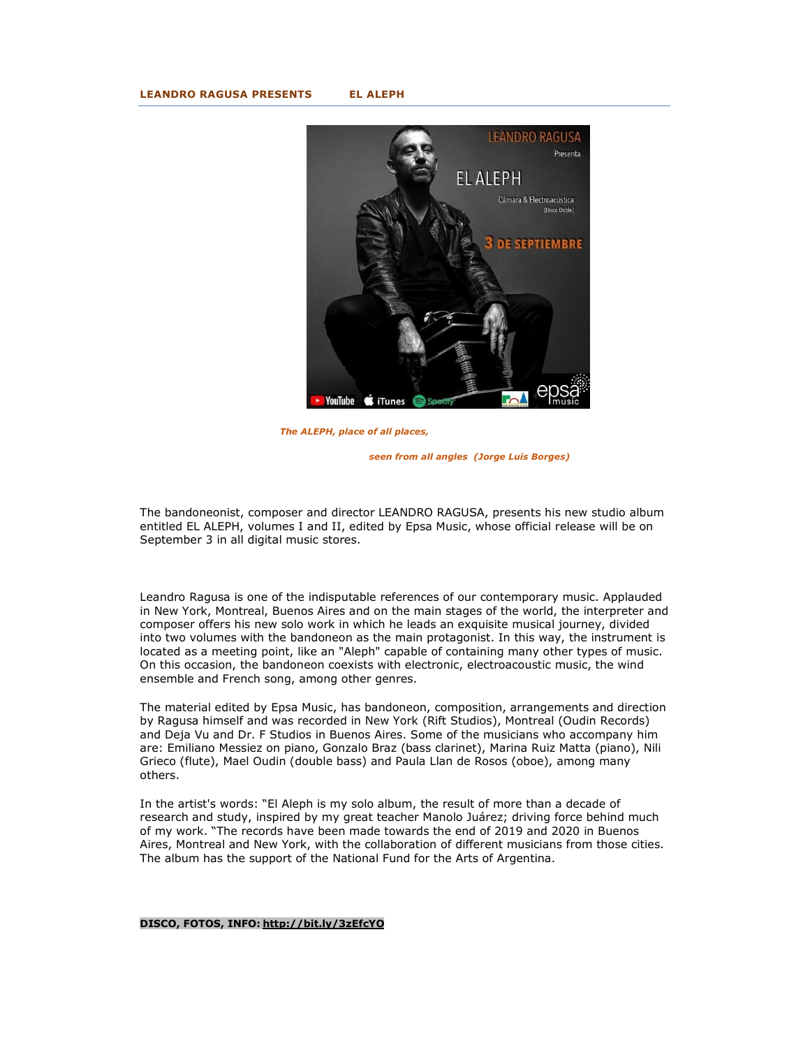### **LEANDRO RAGUSA PRESENTS EL ALEPH**



 *The ALEPH, place of all places,* 

 *seen from all angles (Jorge Luis Borges)* 

The bandoneonist, composer and director LEANDRO RAGUSA, presents his new studio album entitled EL ALEPH, volumes I and II, edited by Epsa Music, whose official release will be on September 3 in all digital music stores.

Leandro Ragusa is one of the indisputable references of our contemporary music. Applauded in New York, Montreal, Buenos Aires and on the main stages of the world, the interpreter and composer offers his new solo work in which he leads an exquisite musical journey, divided into two volumes with the bandoneon as the main protagonist. In this way, the instrument is located as a meeting point, like an "Aleph" capable of containing many other types of music. On this occasion, the bandoneon coexists with electronic, electroacoustic music, the wind ensemble and French song, among other genres.

The material edited by Epsa Music, has bandoneon, composition, arrangements and direction by Ragusa himself and was recorded in New York (Rift Studios), Montreal (Oudin Records) and Deja Vu and Dr. F Studios in Buenos Aires. Some of the musicians who accompany him are: Emiliano Messiez on piano, Gonzalo Braz (bass clarinet), Marina Ruiz Matta (piano), Nili Grieco (flute), Mael Oudin (double bass) and Paula Llan de Rosos (oboe), among many others.

In the artist's words: "El Aleph is my solo album, the result of more than a decade of research and study, inspired by my great teacher Manolo Juárez; driving force behind much of my work. "The records have been made towards the end of 2019 and 2020 in Buenos Aires, Montreal and New York, with the collaboration of different musicians from those cities. The album has the support of the National Fund for the Arts of Argentina.

### **DISCO, FOTOS, INFO: http://bit.ly/3zEfcYO**